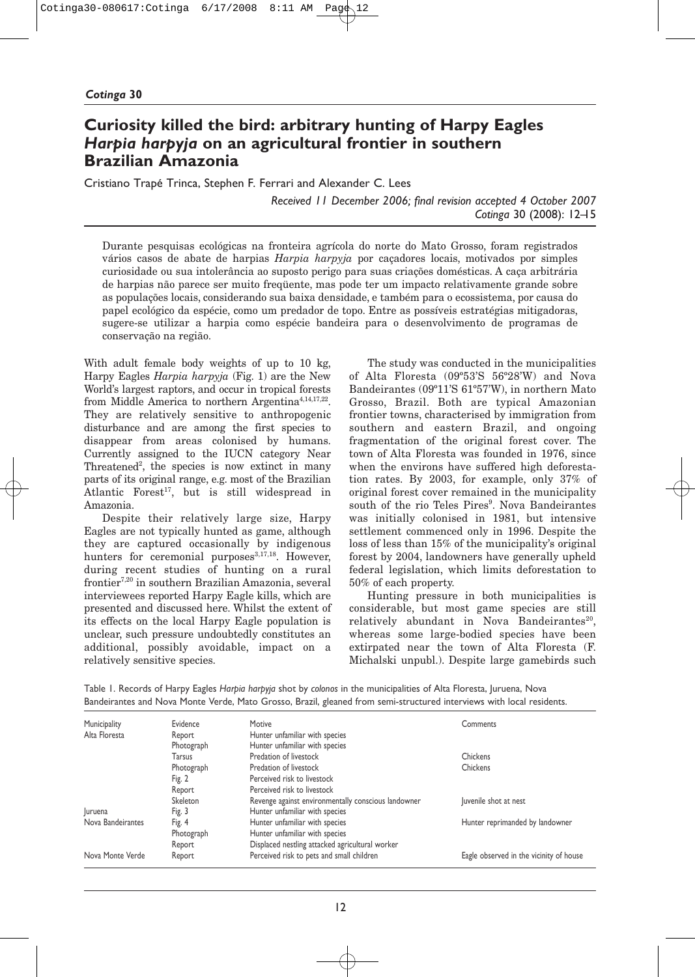# **Curiosity killed the bird: arbitrary hunting of Harpy Eagles** *Harpia harpyja* **on an agricultural frontier in southern Brazilian Amazonia**

Cristiano Trapé Trinca, Stephen F. Ferrari and Alexander C. Lees

*Received 11 December 2006; final revision accepted 4 October 2007 Cotinga* 30 (2008): 12–15

Durante pesquisas ecológicas na fronteira agrícola do norte do Mato Grosso, foram registrados vários casos de abate de harpias *Harpia harpyja* por caçadores locais, motivados por simples curiosidade ou sua intolerância ao suposto perigo para suas criações domésticas. A caça arbitrária de harpias não parece ser muito freqüente, mas pode ter um impacto relativamente grande sobre as populações locais, considerando sua baixa densidade, e também para o ecossistema, por causa do papel ecológico da espécie, como um predador de topo. Entre as possíveis estratégias mitigadoras, sugere-se utilizar a harpia como espécie bandeira para o desenvolvimento de programas de conservação na região.

With adult female body weights of up to 10 kg, Harpy Eagles *Harpia harpyja* (Fig. 1) are the New World's largest raptors, and occur in tropical forests from Middle America to northern Argentina<sup>4,14,17,22</sup>. They are relatively sensitive to anthropogenic disturbance and are among the first species to disappear from areas colonised by humans. Currently assigned to the IUCN category Near Threatened<sup>2</sup>, the species is now extinct in many parts of its original range, e.g. most of the Brazilian Atlantic Forest<sup>17</sup>, but is still widespread in Amazonia.

Despite their relatively large size, Harpy Eagles are not typically hunted as game, although they are captured occasionally by indigenous hunters for ceremonial purposes<sup>3,17,18</sup>. However, during recent studies of hunting on a rural frontier7,20 in southern Brazilian Amazonia, several interviewees reported Harpy Eagle kills, which are presented and discussed here. Whilst the extent of its effects on the local Harpy Eagle population is unclear, such pressure undoubtedly constitutes an additional, possibly avoidable, impact on a relatively sensitive species.

The study was conducted in the municipalities of Alta Floresta (09º53'S 56º28'W) and Nova Bandeirantes (09º11'S 61º57'W), in northern Mato Grosso, Brazil. Both are typical Amazonian frontier towns, characterised by immigration from southern and eastern Brazil, and ongoing fragmentation of the original forest cover. The town of Alta Floresta was founded in 1976, since when the environs have suffered high deforestation rates. By 2003, for example, only 37% of original forest cover remained in the municipality south of the rio Teles Pires<sup>9</sup>. Nova Bandeirantes was initially colonised in 1981, but intensive settlement commenced only in 1996. Despite the loss of less than 15% of the municipality's original forest by 2004, landowners have generally upheld federal legislation, which limits deforestation to 50% of each property.

Hunting pressure in both municipalities is considerable, but most game species are still relatively abundant in Nova Bandeirantes<sup>20</sup>, whereas some large-bodied species have been extirpated near the town of Alta Floresta (F. Michalski unpubl.). Despite large gamebirds such

Table 1. Records of Harpy Eagles *Harpia harpyja* shot by *colonos* in the municipalities of Alta Floresta, Juruena, Nova Bandeirantes and Nova Monte Verde, Mato Grosso, Brazil, gleaned from semi-structured interviews with local residents.

| Municipality      | Evidence   | Motive                                              | Comments                                |
|-------------------|------------|-----------------------------------------------------|-----------------------------------------|
| Alta Floresta     | Report     | Hunter unfamiliar with species                      |                                         |
|                   | Photograph | Hunter unfamiliar with species                      |                                         |
|                   | Tarsus     | Predation of livestock                              | Chickens                                |
|                   | Photograph | Predation of livestock                              | Chickens                                |
|                   | Fig. 2     | Perceived risk to livestock                         |                                         |
|                   | Report     | Perceived risk to livestock                         |                                         |
|                   | Skeleton   | Revenge against environmentally conscious landowner | Juvenile shot at nest                   |
| Juruena           | Fig. 3     | Hunter unfamiliar with species                      |                                         |
| Nova Bandeirantes | Fig. 4     | Hunter unfamiliar with species                      | Hunter reprimanded by landowner         |
|                   | Photograph | Hunter unfamiliar with species                      |                                         |
|                   | Report     | Displaced nestling attacked agricultural worker     |                                         |
| Nova Monte Verde  | Report     | Perceived risk to pets and small children           | Eagle observed in the vicinity of house |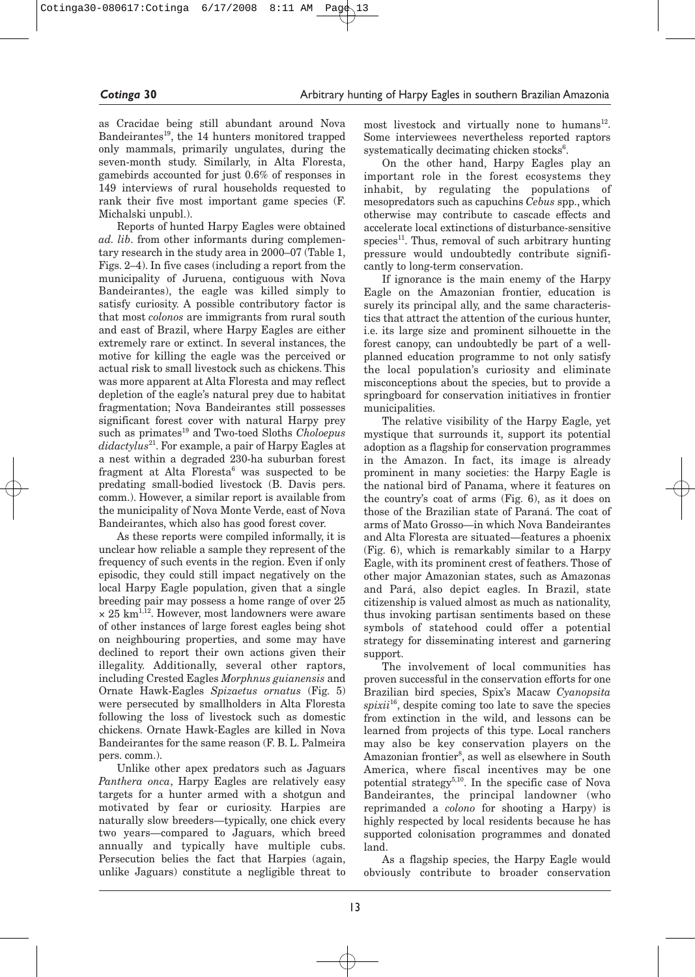as Cracidae being still abundant around Nova Bandeirantes<sup>19</sup>, the 14 hunters monitored trapped only mammals, primarily ungulates, during the seven-month study. Similarly, in Alta Floresta, gamebirds accounted for just 0.6% of responses in 149 interviews of rural households requested to rank their five most important game species (F. Michalski unpubl.).

Reports of hunted Harpy Eagles were obtained *ad. lib*. from other informants during complementary research in the study area in 2000–07 (Table 1, Figs. 2–4). In five cases (including a report from the municipality of Juruena, contiguous with Nova Bandeirantes), the eagle was killed simply to satisfy curiosity. A possible contributory factor is that most *colonos* are immigrants from rural south and east of Brazil, where Harpy Eagles are either extremely rare or extinct. In several instances, the motive for killing the eagle was the perceived or actual risk to small livestock such as chickens. This was more apparent at Alta Floresta and may reflect depletion of the eagle's natural prey due to habitat fragmentation; Nova Bandeirantes still possesses significant forest cover with natural Harpy prey such as primates<sup>19</sup> and Two-toed Sloths *Choloepus didactylus*21. For example, a pair of Harpy Eagles at a nest within a degraded 230-ha suburban forest fragment at Alta Floresta<sup>6</sup> was suspected to be predating small-bodied livestock (B. Davis pers. comm.). However, a similar report is available from the municipality of Nova Monte Verde, east of Nova Bandeirantes, which also has good forest cover.

As these reports were compiled informally, it is unclear how reliable a sample they represent of the frequency of such events in the region. Even if only episodic, they could still impact negatively on the local Harpy Eagle population, given that a single breeding pair may possess a home range of over 25  $\times$  25 km<sup>1,12</sup>. However, most landowners were aware of other instances of large forest eagles being shot on neighbouring properties, and some may have declined to report their own actions given their illegality. Additionally, several other raptors, including Crested Eagles *Morphnus guianensis* and Ornate Hawk-Eagles *Spizaetus ornatus* (Fig. 5) were persecuted by smallholders in Alta Floresta following the loss of livestock such as domestic chickens. Ornate Hawk-Eagles are killed in Nova Bandeirantes for the same reason (F. B. L. Palmeira pers. comm.).

Unlike other apex predators such as Jaguars *Panthera onca*, Harpy Eagles are relatively easy targets for a hunter armed with a shotgun and motivated by fear or curiosity. Harpies are naturally slow breeders— typically, one chick every two years— compared to Jaguars, which breed annually and typically have multiple cubs. Persecution belies the fact that Harpies (again, unlike Jaguars) constitute a negligible threat to most livestock and virtually none to humans $^{12}$ . Some interviewees nevertheless reported raptors systematically decimating chicken stocks<sup>6</sup>.

On the other hand, Harpy Eagles play an important role in the forest ecosystems they inhabit, by regulating the populations of mesopredators such as capuchins *Cebus* spp., which otherwise may contribute to cascade effects and accelerate local extinctions of disturbance-sensitive species<sup>11</sup>. Thus, removal of such arbitrary hunting pressure would undoubtedly contribute significantly to long-term conservation.

If ignorance is the main enemy of the Harpy Eagle on the Amazonian frontier, education is surely its principal ally, and the same characteristics that attract the attention of the curious hunter, i.e. its large size and prominent silhouette in the forest canopy, can undoubtedly be part of a wellplanned education programme to not only satisfy the local population's curiosity and eliminate misconceptions about the species, but to provide a springboard for conservation initiatives in frontier municipalities.

The relative visibility of the Harpy Eagle, yet mystique that surrounds it, support its potential adoption as a flagship for conservation programmes in the Amazon. In fact, its image is already prominent in many societies: the Harpy Eagle is the national bird of Panama, where it features on the country's coat of arms (Fig. 6), as it does on those of the Brazilian state of Paraná. The coat of arms of Mato Grosso— in which Nova Bandeirantes and Alta Floresta are situated— features a phoenix (Fig. 6), which is remarkably similar to a Harpy Eagle, with its prominent crest of feathers. Those of other major Amazonian states, such as Amazonas and Pará, also depict eagles. In Brazil, state citizenship is valued almost as much as nationality, thus invoking partisan sentiments based on these symbols of statehood could offer a potential strategy for disseminating interest and garnering support.

The involvement of local communities has proven successful in the conservation efforts for one Brazilian bird species, Spix's Macaw *Cyanopsita spixii*16, despite coming too late to save the species from extinction in the wild, and lessons can be learned from projects of this type. Local ranchers may also be key conservation players on the Amazonian frontier<sup>8</sup>, as well as elsewhere in South America, where fiscal incentives may be one potential strategy<sup>5,10</sup>. In the specific case of Nova Bandeirantes, the principal landowner (who reprimanded a *colono* for shooting a Harpy) is highly respected by local residents because he has supported colonisation programmes and donated land.

As a flagship species, the Harpy Eagle would obviously contribute to broader conservation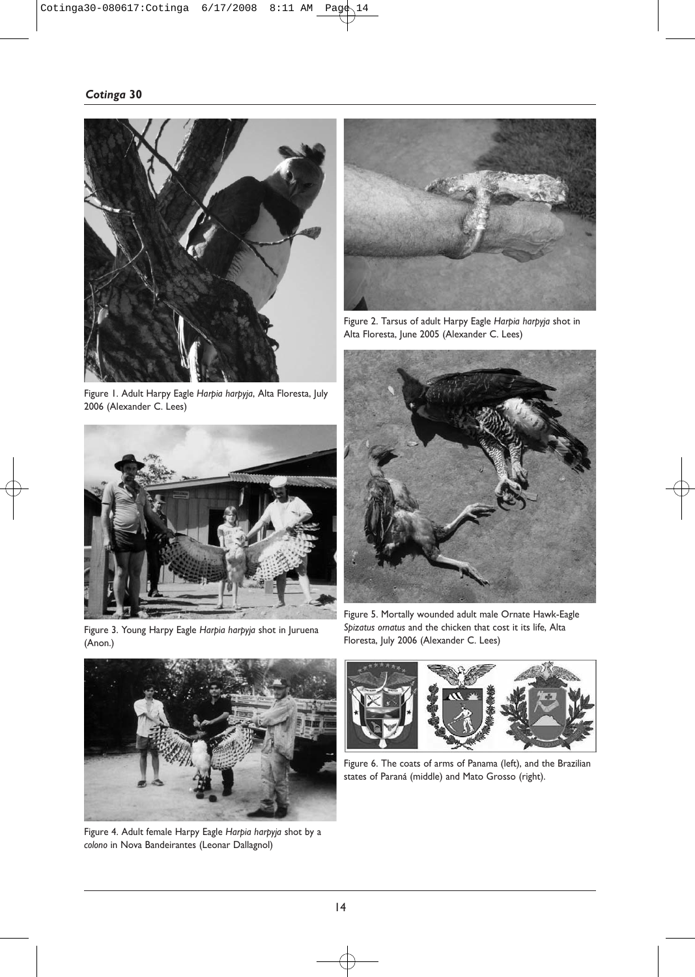

Figure 1. Adult Harpy Eagle *Harpia harpyja*, Alta Floresta, July 2006 (Alexander C. Lees)



Figure 3. Young Harpy Eagle *Harpia harpyja* shot in Juruena (Anon.)



Figure 2. Tarsus of adult Harpy Eagle *Harpia harpyja* shot in Alta Floresta, June 2005 (Alexander C. Lees)



Figure 5. Mortally wounded adult male Ornate Hawk-Eagle *Spizatus ornatus* and the chicken that cost it its life, Alta Floresta, July 2006 (Alexander C. Lees)



Figure 4. Adult female Harpy Eagle *Harpia harpyja* shot by a *colono* in Nova Bandeirantes (Leonar Dallagnol)



Figure 6. The coats of arms of Panama (left), and the Brazilian states of Paraná (middle) and Mato Grosso (right).